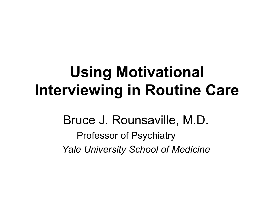## **Using Motivational Interviewing in Routine Care**

### Bruce J. Rounsaville, M.D. Professor of Psychiatry *Yale University School of Medicine*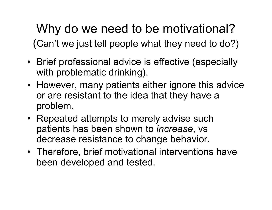### Why do we need to be motivational? (Can't we just tell people what they need to do?)

- Brief professional advice is effective (especially with problematic drinking).
- However, many patients either ignore this advice or are resistant to the idea that they have a problem.
- Repeated attempts to merely advise such patients has been shown to *increase*, vs decrease resistance to change behavior.
- Therefore, brief motivational interventions have been developed and tested.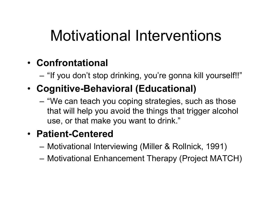# Motivational Interventions

#### • **Confrontational**

- "If you don't stop drinking, you're gonna kill yourself!!"
- **Cognitive-Behavioral (Educational)**
	- "We can teach you coping strategies, such as those that will help you avoid the things that trigger alcohol use, or that make you want to drink."

#### • **Patient-Centered**

- Motivation al Interviewin g (Miller & Rollnick, 1991)
- Motivational Enhancement Therapy (Project MATCH)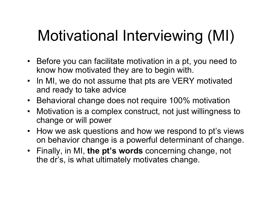# Motivational Interviewing (MI)

- Before you can facilitate motivation in a pt, you need to know how motivated they are to begin with.
- In MI, we do not assume that pts are VERY motivated and ready to take advice
- Behavioral change does not require 100% motivation
- Motivation is a complex construct, not just willingness to change or will power
- How we ask questions and how we respond to pt's views on behavior change is a powerful determinant of change.
- Finally, in MI, **the pt's w ords** concerning change, not the dr's, is what ultimately motivates change.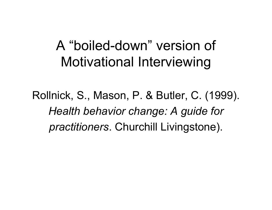### A "boiled-down" version of Motivational Interviewing

Rollnick, S., Mason, P. & Butler, C. (1999). *Health behavior change: A guide for practitioners*. Churchill Livingstone).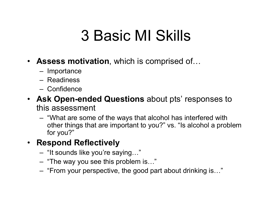# 3 Basic MI Skills

- **Assess motivation**, which is comprised of…
	- Importance
	- –Readiness
	- –Confidence
- **Ask Open-ended Questions** about pts' responses to this assessment
	- "What a re some of the ways that alco h ol has int erfe red with other things that are important to you?" vs. "Is alcohol a problem for you?"

#### • **Respond Reflectively**

- "It sounds like you're saying… "
- "The way you see this problem is… "
- $\sim$ "F rom your p erspective, the good part about drinking is…"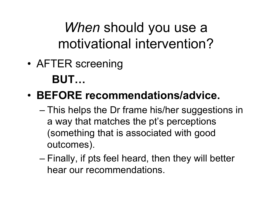*When* should you use a motivational intervention?

• AFTER screening **BUT…**

### • **BEFORE recommendations/advice.**

- –– This helps the Dr frame his/her suggestions in a way that matches the pt's perceptions (something that is associated with good outcomes).
- – $-$  Finally, if pts feel heard, then they will better hear our recommendations.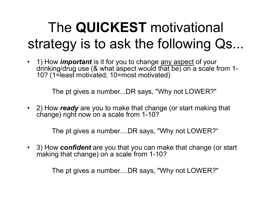## The **QUICKEST** motivational strategy is to ask the following Qs...

• 1) How *important* is it for you to change any aspect of your drinking/drug use (& what aspect would that be) on a scale from 1- 10? (1=least motivated; 10=most motivated)

The pt gives a number...DR says, "Why not LOWER?"

• 2) How *ready* are you to make that change (or start making that change) right now on a scale from 1-10?

The pt gives a number....DR says, "Why not LOWER?"

• 3) How *confident* are you that you can make that change (or start making that change) on a scale from 1-10?

The pt gives a number....DR says, "Why not LOWER?"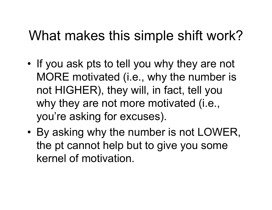### What makes this simple shift work?

- •• If you ask pts to tell you why they are not MORE motivated (i.e., why the number is not HIGHER), they will, in fact, tell you why they are not more motivated (i.e., you're asking for excuses).
- • By asking why the number is not LOWER, the pt cannot help but to give you some kernel of motivation.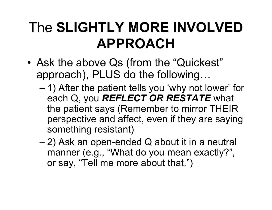## The **SLIGHTLY MORE INVOLVED APPROACH**

- • Ask the above Qs (from the "Quickest" approach), PLUS do the following…
	- – 1) After the patient tells you 'why not lower' for each Q, you *REFLECT OR RESTATE* what the patient says (Remember to mirror THEIR perspective and affect, even if they are saying something resistant)
	- – 2) Ask an open-ended Q about it in a neutral manner (e.g., "What do you mean exactly?", or say, "Tell me more about that.")